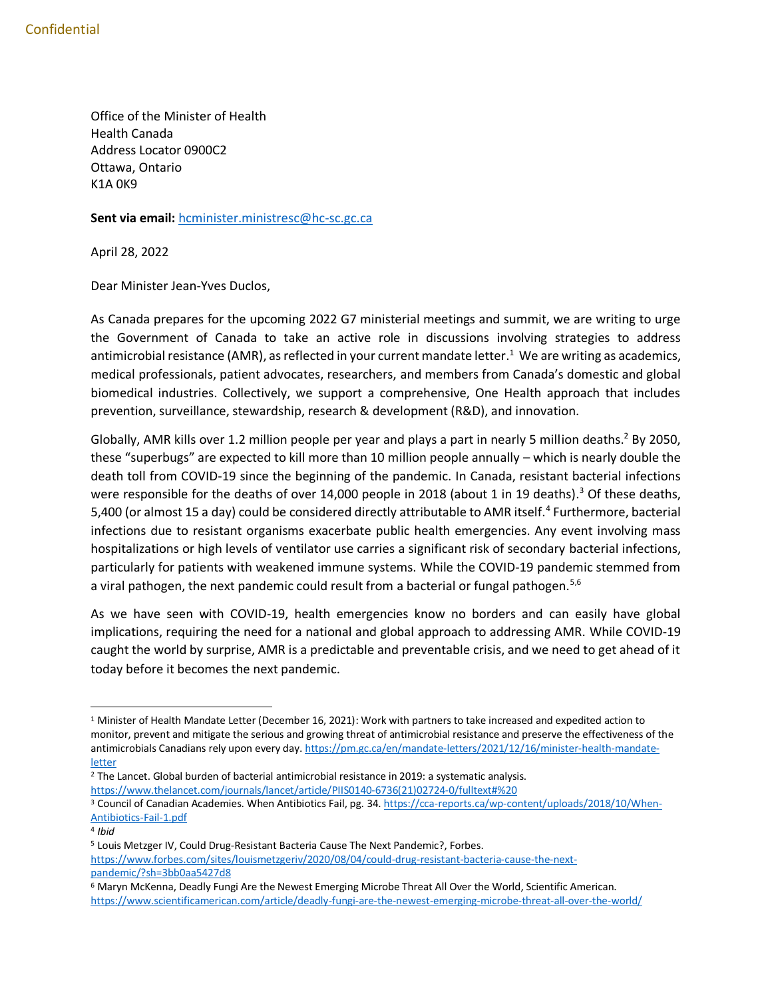Office of the Minister of Health Health Canada Address Locator 0900C2 Ottawa, Ontario K1A 0K9

**Sent via email:** [hcminister.ministresc@hc-sc.gc.ca](mailto:hcminister.ministresc@hc-sc.gc.ca)

April 28, 2022

Dear Minister Jean-Yves Duclos,

As Canada prepares for the upcoming 2022 G7 ministerial meetings and summit, we are writing to urge the Government of Canada to take an active role in discussions involving strategies to address antimicrobial resistance (AMR), as reflected in your current mandate letter. 1 We are writing as academics, medical professionals, patient advocates, researchers, and members from Canada's domestic and global biomedical industries. Collectively, we support a comprehensive, One Health approach that includes prevention, surveillance, stewardship, research & development (R&D), and innovation.

Globally, AMR kills over 1.2 million people per year and plays a part in nearly 5 million deaths.<sup>2</sup> By 2050, these "superbugs" are expected to kill more than 10 million people annually – which is nearly double the death toll from COVID-19 since the beginning of the pandemic. In Canada, resistant bacterial infections were responsible for the deaths of over 14,000 people in 2018 (about 1 in 19 deaths).<sup>3</sup> Of these deaths, 5,400 (or almost 15 a day) could be considered directly attributable to AMR itself.<sup>4</sup> Furthermore, bacterial infections due to resistant organisms exacerbate public health emergencies. Any event involving mass hospitalizations or high levels of ventilator use carries a significant risk of secondary bacterial infections, particularly for patients with weakened immune systems. While the COVID-19 pandemic stemmed from a viral pathogen, the next pandemic could result from a bacterial or fungal pathogen.<sup>5,6</sup>

As we have seen with COVID-19, health emergencies know no borders and can easily have global implications, requiring the need for a national and global approach to addressing AMR. While COVID-19 caught the world by surprise, AMR is a predictable and preventable crisis, and we need to get ahead of it today before it becomes the next pandemic.

 $\overline{\phantom{a}}$ 

<sup>1</sup> Minister of Health Mandate Letter (December 16, 2021): Work with partners to take increased and expedited action to monitor, prevent and mitigate the serious and growing threat of antimicrobial resistance and preserve the effectiveness of the antimicrobials Canadians rely upon every day. [https://pm.gc.ca/en/mandate-letters/2021/12/16/minister-health-mandate](https://pm.gc.ca/en/mandate-letters/2021/12/16/minister-health-mandate-letter)[letter](https://pm.gc.ca/en/mandate-letters/2021/12/16/minister-health-mandate-letter)

<sup>2</sup> The Lancet. Global burden of bacterial antimicrobial resistance in 2019: a systematic analysis.

[https://www.thelancet.com/journals/lancet/article/PIIS0140-6736\(21\)02724-0/fulltext#%20](https://www.thelancet.com/journals/lancet/article/PIIS0140-6736(21)02724-0/fulltext#%20)

<sup>&</sup>lt;sup>3</sup> Council of Canadian Academies. When Antibiotics Fail, pg. 34[. https://cca-reports.ca/wp-content/uploads/2018/10/When-](https://cca-reports.ca/wp-content/uploads/2018/10/When-Antibiotics-Fail-1.pdf)[Antibiotics-Fail-1.pdf](https://cca-reports.ca/wp-content/uploads/2018/10/When-Antibiotics-Fail-1.pdf)

<sup>4</sup> *Ibid*

<sup>5</sup> Louis Metzger IV, Could Drug-Resistant Bacteria Cause The Next Pandemic?, Forbes. [https://www.forbes.com/sites/louismetzgeriv/2020/08/04/could-drug-resistant-bacteria-cause-the-next](https://www.forbes.com/sites/louismetzgeriv/2020/08/04/could-drug-resistant-bacteria-cause-the-next-pandemic/?sh=3bb0aa5427d8)[pandemic/?sh=3bb0aa5427d8](https://www.forbes.com/sites/louismetzgeriv/2020/08/04/could-drug-resistant-bacteria-cause-the-next-pandemic/?sh=3bb0aa5427d8)

<sup>6</sup> Maryn McKenna, Deadly Fungi Are the Newest Emerging Microbe Threat All Over the World, Scientific American. <https://www.scientificamerican.com/article/deadly-fungi-are-the-newest-emerging-microbe-threat-all-over-the-world/>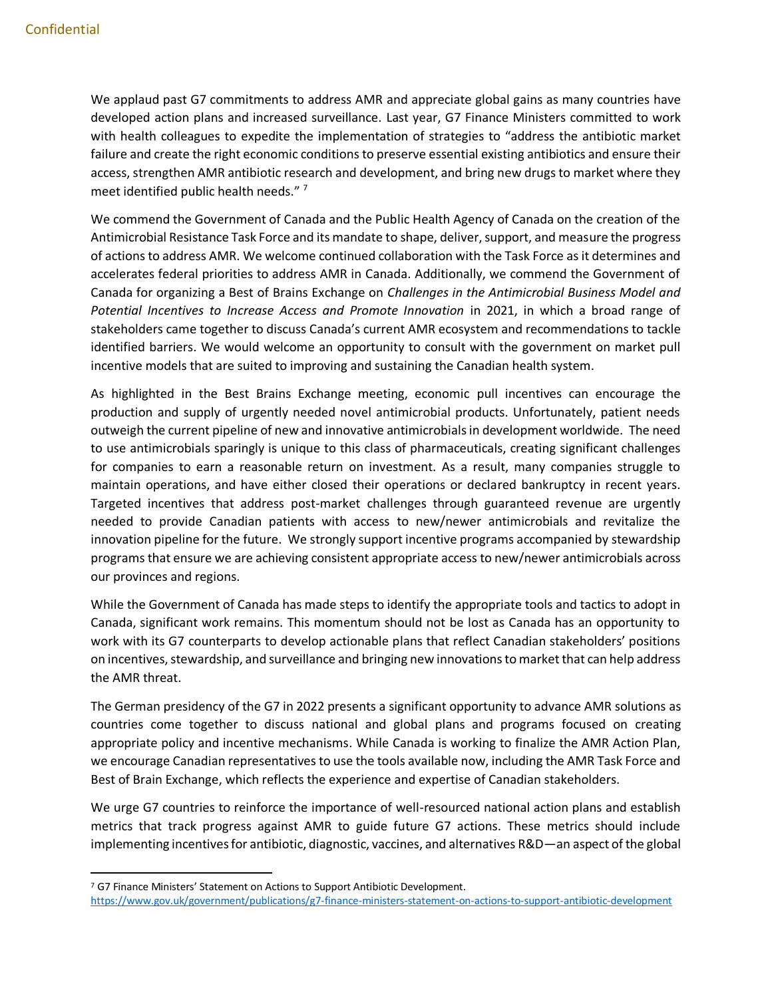We applaud past G7 commitments to address AMR and appreciate global gains as many countries have developed action plans and increased surveillance. Last year, G7 Finance Ministers committed to work with health colleagues to expedite the implementation of strategies to "address the antibiotic market failure and create the right economic conditions to preserve essential existing antibiotics and ensure their access, strengthen AMR antibiotic research and development, and bring new drugs to market where they meet identified public health needs."<sup>7</sup>

We commend the Government of Canada and the Public Health Agency of Canada on the creation of the Antimicrobial Resistance Task Force and its mandate to shape, deliver, support, and measure the progress of actions to address AMR. We welcome continued collaboration with the Task Force as it determines and accelerates federal priorities to address AMR in Canada. Additionally, we commend the Government of Canada for organizing a Best of Brains Exchange on *Challenges in the Antimicrobial Business Model and Potential Incentives to Increase Access and Promote Innovation* in 2021, in which a broad range of stakeholders came together to discuss Canada's current AMR ecosystem and recommendations to tackle identified barriers. We would welcome an opportunity to consult with the government on market pull incentive models that are suited to improving and sustaining the Canadian health system.

As highlighted in the Best Brains Exchange meeting, economic pull incentives can encourage the production and supply of urgently needed novel antimicrobial products. Unfortunately, patient needs outweigh the current pipeline of new and innovative antimicrobials in development worldwide. The need to use antimicrobials sparingly is unique to this class of pharmaceuticals, creating significant challenges for companies to earn a reasonable return on investment. As a result, many companies struggle to maintain operations, and have either closed their operations or declared bankruptcy in recent years. Targeted incentives that address post-market challenges through guaranteed revenue are urgently needed to provide Canadian patients with access to new/newer antimicrobials and revitalize the innovation pipeline for the future. We strongly support incentive programs accompanied by stewardship programs that ensure we are achieving consistent appropriate access to new/newer antimicrobials across our provinces and regions.

While the Government of Canada has made steps to identify the appropriate tools and tactics to adopt in Canada, significant work remains. This momentum should not be lost as Canada has an opportunity to work with its G7 counterparts to develop actionable plans that reflect Canadian stakeholders' positions on incentives, stewardship, and surveillance and bringing new innovations to market that can help address the AMR threat.

The German presidency of the G7 in 2022 presents a significant opportunity to advance AMR solutions as countries come together to discuss national and global plans and programs focused on creating appropriate policy and incentive mechanisms. While Canada is working to finalize the AMR Action Plan, we encourage Canadian representatives to use the tools available now, including the AMR Task Force and Best of Brain Exchange, which reflects the experience and expertise of Canadian stakeholders.

We urge G7 countries to reinforce the importance of well-resourced national action plans and establish metrics that track progress against AMR to guide future G7 actions. These metrics should include implementing incentives for antibiotic, diagnostic, vaccines, and alternatives R&D—an aspect of the global

 $\overline{a}$ <sup>7</sup> G7 Finance Ministers' Statement on Actions to Support Antibiotic Development.

<https://www.gov.uk/government/publications/g7-finance-ministers-statement-on-actions-to-support-antibiotic-development>